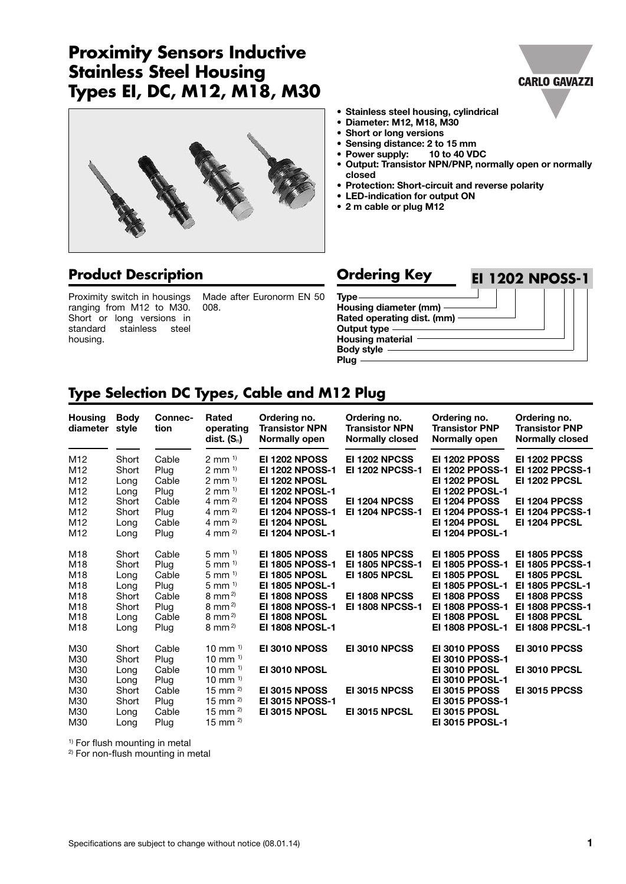# **Proximity Sensors Inductive Stainless Steel Housing Types EI, DC, M12, M18, M30**



# **Product Description**

Proximity switch in housings ranging from M12 to M30. Short or long versions in standard stainless steel housing.

Made after Euronorm EN 50 008.



- **• Stainless steel housing, cylindrical**
- **• Diameter: M12, M18, M30**
- **• Short or long versions**
- **• Sensing distance: 2 to 15 mm •** Power supply:
- **• Output: Transistor NPN/PNP, normally open or normally closed**
- **• Protection: Short-circuit and reverse polarity**
- **• LED-indication for output ON**
- **• 2 m cable or plug M12**

#### **Type Housing diameter (mm) Rated operating dist. (mm) Ordering Key EI 1202 NPOSS-1**

**Output type Housing material**

**Body style**

**Plug**

# **Type Selection DC Types, Cable and M12 Plug**

| <b>Housing</b><br>diameter | <b>Body</b><br>style | Connec-<br>tion | Rated<br>operating<br>dist. $(S_n)$ | Ordering no.<br><b>Transistor NPN</b><br>Normally open | Ordering no.<br><b>Transistor NPN</b><br><b>Normally closed</b> | Ordering no.<br><b>Transistor PNP</b><br>Normally open | Ordering no.<br><b>Transistor PNP</b><br><b>Normally closed</b> |
|----------------------------|----------------------|-----------------|-------------------------------------|--------------------------------------------------------|-----------------------------------------------------------------|--------------------------------------------------------|-----------------------------------------------------------------|
| M <sub>12</sub>            | Short                | Cable           | $2 \text{ mm}^{-1}$                 | <b>EI 1202 NPOSS</b>                                   | EI 1202 NPCSS                                                   | <b>EI 1202 PPOSS</b>                                   | <b>EI 1202 PPCSS</b>                                            |
| M <sub>12</sub>            | Short                | Plug            | $2 \text{ mm}^{-1}$                 | <b>EI 1202 NPOSS-1</b>                                 | <b>EI 1202 NPCSS-1</b>                                          | <b>EI 1202 PPOSS-1</b>                                 | <b>EI 1202 PPCSS-1</b>                                          |
| M <sub>12</sub>            | Long                 | Cable           | $2 \text{ mm}^{-1}$                 | <b>EI 1202 NPOSL</b>                                   |                                                                 | <b>EI 1202 PPOSL</b>                                   | <b>EI 1202 PPCSL</b>                                            |
| M <sub>12</sub>            | Long                 | Plug            | $2 \, \text{mm}$ <sup>1)</sup>      | <b>EI 1202 NPOSL-1</b>                                 |                                                                 | <b>EI 1202 PPOSL-1</b>                                 |                                                                 |
| M12                        | Short                | Cable           | 4 mm $^{2}$                         | <b>EI 1204 NPOSS</b>                                   | EI 1204 NPCSS                                                   | <b>EI 1204 PPOSS</b>                                   | EI 1204 PPCSS                                                   |
| M <sub>12</sub>            | Short                | Plug            | 4 mm $^{2}$                         | <b>EI 1204 NPOSS-1</b>                                 | <b>EI 1204 NPCSS-1</b>                                          | <b>EI 1204 PPOSS-1</b>                                 | <b>EI 1204 PPCSS-1</b>                                          |
| M <sub>12</sub>            | Long                 | Cable           | 4 mm $^{2}$                         | EI 1204 NPOSL                                          |                                                                 | <b>EI 1204 PPOSL</b>                                   | EI 1204 PPCSL                                                   |
| M <sub>12</sub>            | Long                 | Plug            | 4 mm $^{2}$                         | <b>EI 1204 NPOSL-1</b>                                 |                                                                 | <b>EI 1204 PPOSL-1</b>                                 |                                                                 |
| M18                        | Short                | Cable           | $5 \text{ mm}$ <sup>1)</sup>        | <b>EI 1805 NPOSS</b>                                   | EI 1805 NPCSS                                                   | <b>EI 1805 PPOSS</b>                                   | <b>EI 1805 PPCSS</b>                                            |
| M18                        | Short                | Plug            | $5$ mm $1)$                         | <b>EI 1805 NPOSS-1</b>                                 | <b>EI 1805 NPCSS-1</b>                                          | <b>EI 1805 PPOSS-1</b>                                 | <b>EI 1805 PPCSS-1</b>                                          |
| M18                        | Long                 | Cable           | 5 mm $^{1}$                         | EI 1805 NPOSL                                          | EI 1805 NPCSL                                                   | <b>EI 1805 PPOSL</b>                                   | EI 1805 PPCSL                                                   |
| M18                        | Long                 | Plug            | $5 \, \text{mm}$ <sup>1)</sup>      | <b>EI 1805 NPOSL-1</b>                                 |                                                                 | <b>EI 1805 PPOSL-1</b>                                 | <b>EI 1805 PPCSL-1</b>                                          |
| M18                        | Short                | Cable           | $8 \text{ mm}^{2}$                  | EI 1808 NPOSS                                          | EI 1808 NPCSS                                                   | EI 1808 PPOSS                                          | EI 1808 PPCSS                                                   |
| M18                        | Short                | Plug            | $8 \text{ mm}^{2}$                  | <b>EI 1808 NPOSS-1</b>                                 | <b>EI 1808 NPCSS-1</b>                                          | <b>EI 1808 PPOSS-1</b>                                 | <b>EI 1808 PPCSS-1</b>                                          |
| M18                        | Long                 | Cable           | $8 \text{ mm}^{2}$                  | EI 1808 NPOSL                                          |                                                                 | EI 1808 PPOSL                                          | EI 1808 PPCSL                                                   |
| M18                        | Long                 | Plug            | $8 \text{ mm}$ <sup>2)</sup>        | <b>EI 1808 NPOSL-1</b>                                 |                                                                 | <b>EI 1808 PPOSL-1</b>                                 | <b>EI 1808 PPCSL-1</b>                                          |
| M30                        | Short                | Cable           | 10 mm $1$ <sup>1)</sup>             | EI 3010 NPOSS                                          | EI 3010 NPCSS                                                   | EI 3010 PPOSS                                          | EI 3010 PPCSS                                                   |
| M30                        | Short                | Plug            | 10 mm $1$ <sup>1)</sup>             |                                                        |                                                                 | <b>EI 3010 PPOSS-1</b>                                 |                                                                 |
| M30                        | Long                 | Cable           | 10 mm $^{1}$                        | EI 3010 NPOSL                                          |                                                                 | EI 3010 PPOSL                                          | EI 3010 PPCSL                                                   |
| M30                        | Long                 | Plug            | 10 mm $1$                           |                                                        |                                                                 | <b>EI 3010 PPOSL-1</b>                                 |                                                                 |
| M30                        | Short                | Cable           | 15 mm $^{2)}$                       | <b>EI 3015 NPOSS</b>                                   | EI 3015 NPCSS                                                   | <b>EI 3015 PPOSS</b>                                   | <b>EI 3015 PPCSS</b>                                            |
| M30                        | Short                | Plug            | 15 mm $^{2}$                        | <b>EI 3015 NPOSS-1</b>                                 |                                                                 | <b>EI 3015 PPOSS-1</b>                                 |                                                                 |
| M30                        | Long                 | Cable           | 15 mm $^{2)}$                       | <b>EI 3015 NPOSL</b>                                   | EI 3015 NPCSL                                                   | EI 3015 PPOSL                                          |                                                                 |
| M30                        | Long                 | Plug            | 15 mm $^{2)}$                       |                                                        |                                                                 | <b>EI 3015 PPOSL-1</b>                                 |                                                                 |

<sup>1)</sup> For flush mounting in metal <sup>2)</sup> For non-flush mounting in metal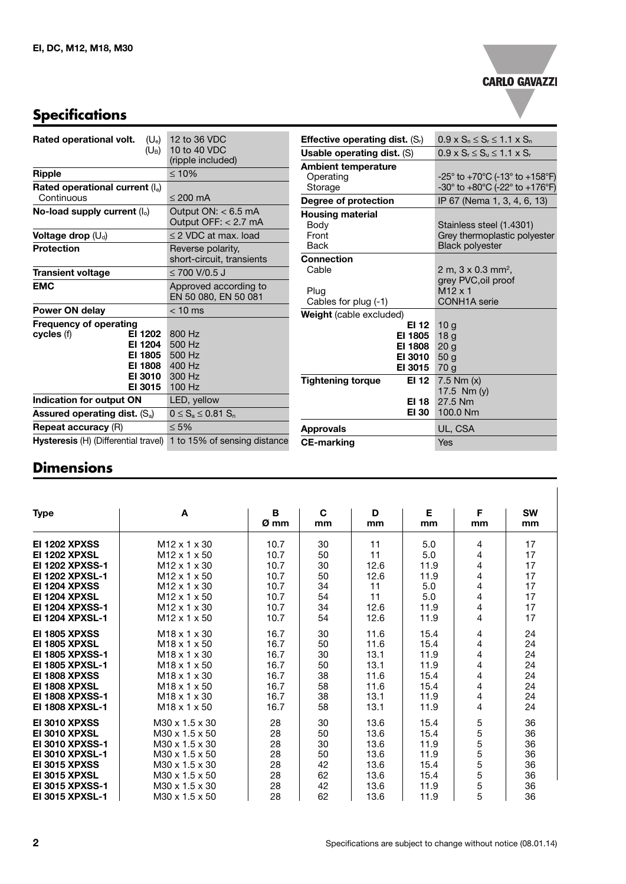#### **CARLO GAVAZZI**

 $\overline{a}$ 

# **Specifications**

| Rated operational volt.<br>$(U_e)$<br>$(\mathsf{U}_\mathsf{B})$                                               | 12 to 36 VDC<br>10 to 40 VDC<br>(ripple included)        |  |  |
|---------------------------------------------------------------------------------------------------------------|----------------------------------------------------------|--|--|
| <b>Ripple</b>                                                                                                 | $\leq 10\%$                                              |  |  |
| Rated operational current $(I_e)$<br>Continuous                                                               | $< 200 \text{ mA}$                                       |  |  |
| No-load supply current $(I_0)$                                                                                | Output $ON: < 6.5$ mA<br>Output OFF: < 2.7 mA            |  |  |
| Voltage drop $(U_d)$                                                                                          | $\leq$ 2 VDC at max. load                                |  |  |
| <b>Protection</b>                                                                                             | Reverse polarity,<br>short-circuit, transients           |  |  |
| Transient voltage                                                                                             | $\leq$ 700 V/0.5 J                                       |  |  |
| <b>EMC</b>                                                                                                    | Approved according to<br>EN 50 080, EN 50 081            |  |  |
| Power ON delay                                                                                                | $< 10$ ms                                                |  |  |
| <b>Frequency of operating</b><br>cycles (f)<br>EI 1202<br>EI 1204<br>EI 1805<br>EI 1808<br>EI 3010<br>EI 3015 | 800 Hz<br>500 Hz<br>500 Hz<br>400 Hz<br>300 Hz<br>100 Hz |  |  |
| Indication for output ON                                                                                      | LED, yellow                                              |  |  |
| Assured operating dist. $(S_a)$                                                                               | $0 \leq S_a \leq 0.81 S_n$                               |  |  |
| <b>Repeat accuracy (R)</b>                                                                                    | $\leq 5\%$                                               |  |  |
| Hysteresis (H) (Differential travel)                                                                          | 1 to 15% of sensing distance                             |  |  |

| <b>Effective operating dist.</b> $(S_i)$ | $0.9 \times S_n \leq S_r \leq 1.1 \times S_n$                            |  |  |  |
|------------------------------------------|--------------------------------------------------------------------------|--|--|--|
| <b>Usable operating dist. (S)</b>        | $0.9 \times S_r \le S_u \le 1.1 \times S_r$                              |  |  |  |
|                                          |                                                                          |  |  |  |
| Ambient temperature<br>Operating         | $-25^{\circ}$ to $+70^{\circ}$ C (-13 $^{\circ}$ to $+158^{\circ}$ F)    |  |  |  |
| Storage                                  | -30 $^{\circ}$ to +80 $^{\circ}$ C (-22 $^{\circ}$ to +176 $^{\circ}$ F) |  |  |  |
| Degree of protection                     | IP 67 (Nema 1, 3, 4, 6, 13)                                              |  |  |  |
| <b>Housing material</b>                  |                                                                          |  |  |  |
| Body                                     | Stainless steel (1.4301)                                                 |  |  |  |
| Front                                    | Grey thermoplastic polyester                                             |  |  |  |
| <b>Back</b>                              | <b>Black polyester</b>                                                   |  |  |  |
| Connection                               |                                                                          |  |  |  |
| Cable                                    | 2 m, $3 \times 0.3$ mm <sup>2</sup> ,                                    |  |  |  |
|                                          | grey PVC, oil proof                                                      |  |  |  |
| Plug                                     | $M12 \times 1$                                                           |  |  |  |
| Cables for plug (-1)                     | <b>CONH1A</b> serie                                                      |  |  |  |
| Weight (cable excluded)                  |                                                                          |  |  |  |
| EI 12                                    | 10 <sub>g</sub>                                                          |  |  |  |
| EI 1805                                  | 18 <sub>q</sub>                                                          |  |  |  |
| EI 1808                                  | 20 <sub>q</sub>                                                          |  |  |  |
| EI 3010                                  | 50 <sub>g</sub>                                                          |  |  |  |
| EI 3015                                  | 70 g                                                                     |  |  |  |
| <b>Tightening torque</b><br>EI 12        | $7.5$ Nm $(x)$                                                           |  |  |  |
|                                          | 17.5 $Nm(y)$                                                             |  |  |  |
| EI 18                                    | 27.5 Nm                                                                  |  |  |  |
| EI 30                                    | 100.0 Nm                                                                 |  |  |  |
| Approvals                                | UL, CSA                                                                  |  |  |  |
| <b>CE-marking</b>                        | Yes                                                                      |  |  |  |

#### **Dimensions**

| <b>Type</b>            | A                          | B<br>Ø mm | C<br>mm | D<br>mm | Е<br>mm | F<br>mm | <b>SW</b><br>mm |
|------------------------|----------------------------|-----------|---------|---------|---------|---------|-----------------|
| <b>EI 1202 XPXSS</b>   | $M12 \times 1 \times 30$   | 10.7      | 30      | 11      | 5.0     | 4       | 17              |
| <b>EI 1202 XPXSL</b>   | $M12 \times 1 \times 50$   | 10.7      | 50      | 11      | 5.0     | 4       | 17              |
| <b>EI 1202 XPXSS-1</b> | $M12 \times 1 \times 30$   | 10.7      | 30      | 12.6    | 11.9    | 4       | 17              |
| <b>EI 1202 XPXSL-1</b> | $M12 \times 1 \times 50$   | 10.7      | 50      | 12.6    | 11.9    | 4       | 17              |
| <b>EI 1204 XPXSS</b>   | $M12 \times 1 \times 30$   | 10.7      | 34      | 11      | 5.0     | 4       | 17              |
| <b>EI 1204 XPXSL</b>   | $M12 \times 1 \times 50$   | 10.7      | 54      | 11      | 5.0     | 4       | 17              |
| <b>EI 1204 XPXSS-1</b> | M <sub>12</sub> x 1 x 30   | 10.7      | 34      | 12.6    | 11.9    | 4       | 17              |
| <b>EI 1204 XPXSL-1</b> | M <sub>12</sub> x 1 x 50   | 10.7      | 54      | 12.6    | 11.9    | 4       | 17              |
| <b>EI 1805 XPXSS</b>   | M <sub>18</sub> x 1 x 30   | 16.7      | 30      | 11.6    | 15.4    | 4       | 24              |
| <b>EI 1805 XPXSL</b>   | $M18 \times 1 \times 50$   | 16.7      | 50      | 11.6    | 15.4    | 4       | 24              |
| <b>EI 1805 XPXSS-1</b> | M <sub>18</sub> x 1 x 30   | 16.7      | 30      | 13.1    | 11.9    | 4       | 24              |
| <b>EI 1805 XPXSL-1</b> | $M18 \times 1 \times 50$   | 16.7      | 50      | 13.1    | 11.9    | 4       | 24              |
| EI 1808 XPXSS          | M <sub>18</sub> x 1 x 30   | 16.7      | 38      | 11.6    | 15.4    | 4       | 24              |
| EI 1808 XPXSL          | $M18 \times 1 \times 50$   | 16.7      | 58      | 11.6    | 15.4    | 4       | 24              |
| <b>EI 1808 XPXSS-1</b> | M <sub>18</sub> x 1 x 30   | 16.7      | 38      | 13.1    | 11.9    | 4       | 24              |
| <b>EI 1808 XPXSL-1</b> | $M18 \times 1 \times 50$   | 16.7      | 58      | 13.1    | 11.9    | 4       | 24              |
| <b>EI 3010 XPXSS</b>   | M30 x 1.5 x 30             | 28        | 30      | 13.6    | 15.4    | 5       | 36              |
| EI 3010 XPXSL          | M30 x 1.5 x 50             | 28        | 50      | 13.6    | 15.4    | 5       | 36              |
| <b>EI 3010 XPXSS-1</b> | M30 x 1.5 x 30             | 28        | 30      | 13.6    | 11.9    | 5       | 36              |
| <b>EI 3010 XPXSL-1</b> | $M30 \times 1.5 \times 50$ | 28        | 50      | 13.6    | 11.9    | 5       | 36              |
| <b>EI 3015 XPXSS</b>   | M30 x 1.5 x 30             | 28        | 42      | 13.6    | 15.4    | 5       | 36              |
| <b>EI 3015 XPXSL</b>   | M30 x 1.5 x 50             | 28        | 62      | 13.6    | 15.4    | 5       | 36              |
| <b>EI 3015 XPXSS-1</b> | M30 x 1.5 x 30             | 28        | 42      | 13.6    | 11.9    | 5       | 36              |
| <b>EI 3015 XPXSL-1</b> | M30 x 1.5 x 50             | 28        | 62      | 13.6    | 11.9    | 5       | 36              |